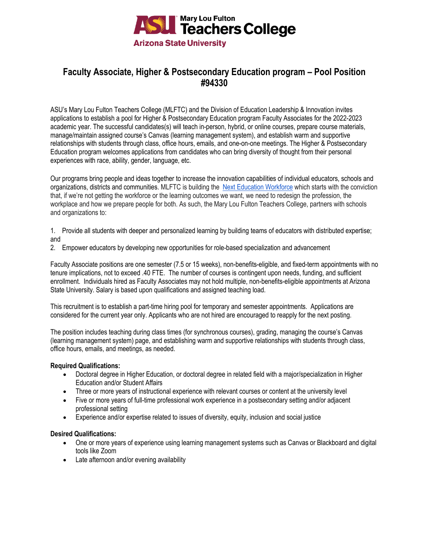

# **Faculty Associate, Higher & Postsecondary Education program – Pool Position #94330**

ASU's Mary Lou Fulton Teachers College (MLFTC) and the Division of Education Leadership & Innovation invites applications to establish a pool for Higher & Postsecondary Education program Faculty Associates for the 2022-2023 academic year. The successful candidates(s) will teach in-person, hybrid, or online courses, prepare course materials, manage/maintain assigned course's Canvas (learning management system), and establish warm and supportive relationships with students through class, office hours, emails, and one-on-one meetings. The Higher & Postsecondary Education program welcomes applications from candidates who can bring diversity of thought from their personal experiences with race, ability, gender, language, etc.

Our programs bring people and ideas together to increase the innovation capabilities of individual educators, schools and organizations, districts and communities. MLFTC is building the [Next Education Workforce](https://workforce.education.asu.edu/?utm_source=mlftc&utm_medium=redirect&utm_campaign=top_nav) which starts with the conviction that, if we're not getting the workforce or the learning outcomes we want, we need to redesign the profession, the workplace and how we prepare people for both. As such, the Mary Lou Fulton Teachers College, partners with schools and organizations to:

1. Provide all students with deeper and personalized learning by building teams of educators with distributed expertise; and

2. Empower educators by developing new opportunities for role-based specialization and advancement

Faculty Associate positions are one semester (7.5 or 15 weeks), non-benefits-eligible, and fixed-term appointments with no tenure implications, not to exceed .40 FTE. The number of courses is contingent upon needs, funding, and sufficient enrollment. Individuals hired as Faculty Associates may not hold multiple, non-benefits-eligible appointments at Arizona State University. Salary is based upon qualifications and assigned teaching load.

This recruitment is to establish a part-time hiring pool for temporary and semester appointments. Applications are considered for the current year only. Applicants who are not hired are encouraged to reapply for the next posting.

The position includes teaching during class times (for synchronous courses), grading, managing the course's Canvas (learning management system) page, and establishing warm and supportive relationships with students through class, office hours, emails, and meetings, as needed.

# **Required Qualifications:**

- Doctoral degree in Higher Education, or doctoral degree in related field with a major/specialization in Higher Education and/or Student Affairs
- Three or more years of instructional experience with relevant courses or content at the university level
- Five or more years of full-time professional work experience in a postsecondary setting and/or adjacent professional setting
- Experience and/or expertise related to issues of diversity, equity, inclusion and social justice

# **Desired Qualifications:**

- One or more years of experience using learning management systems such as Canvas or Blackboard and digital tools like Zoom
- Late afternoon and/or evening availability